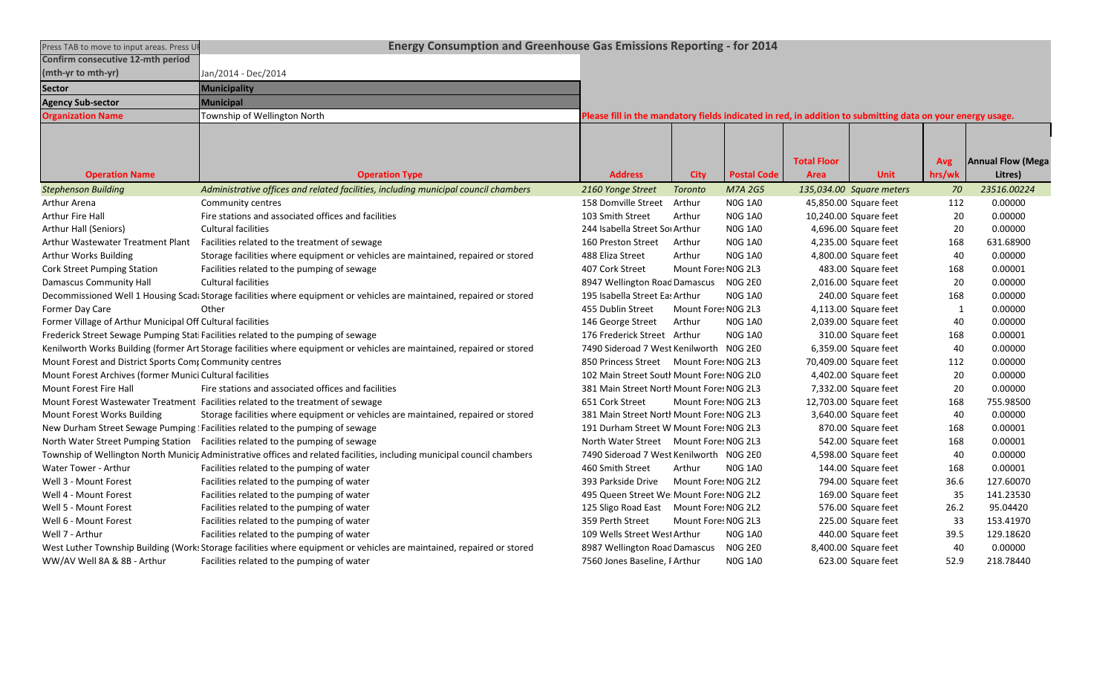| Press TAB to move to input areas. Press UP                 | Energy Consumption and Greenhouse Gas Emissions Reporting - for 2014                                                     |                                                                                                            |                     |                    |                    |                          |            |                          |
|------------------------------------------------------------|--------------------------------------------------------------------------------------------------------------------------|------------------------------------------------------------------------------------------------------------|---------------------|--------------------|--------------------|--------------------------|------------|--------------------------|
| Confirm consecutive 12-mth period                          |                                                                                                                          |                                                                                                            |                     |                    |                    |                          |            |                          |
| (mth-yr to mth-yr)                                         | Jan/2014 - Dec/2014                                                                                                      |                                                                                                            |                     |                    |                    |                          |            |                          |
| <b>Sector</b>                                              | <b>Municipality</b>                                                                                                      |                                                                                                            |                     |                    |                    |                          |            |                          |
| <b>Agency Sub-sector</b>                                   | Municipal                                                                                                                |                                                                                                            |                     |                    |                    |                          |            |                          |
| <b>Organization Name</b>                                   | Township of Wellington North                                                                                             | Please fill in the mandatory fields indicated in red, in addition to submitting data on your energy usage. |                     |                    |                    |                          |            |                          |
|                                                            |                                                                                                                          |                                                                                                            |                     |                    |                    |                          |            |                          |
|                                                            |                                                                                                                          |                                                                                                            |                     |                    |                    |                          |            |                          |
|                                                            |                                                                                                                          |                                                                                                            |                     |                    | <b>Total Floor</b> |                          | <b>Avg</b> | <b>Annual Flow (Mega</b> |
| <b>Operation Name</b>                                      | <b>Operation Type</b>                                                                                                    | <b>Address</b>                                                                                             | <b>City</b>         | <b>Postal Code</b> | <b>Area</b>        | <b>Unit</b>              | hrs/wk     | Litres)                  |
| <b>Stephenson Building</b>                                 | Administrative offices and related facilities, including municipal council chambers                                      | 2160 Yonge Street                                                                                          | <b>Toronto</b>      | M7A 2G5            |                    | 135,034.00 Square meters | 70         | 23516.00224              |
| Arthur Arena                                               | Community centres                                                                                                        | 158 Domville Street                                                                                        | Arthur              | <b>NOG 1A0</b>     |                    | 45,850.00 Square feet    | 112        | 0.00000                  |
| <b>Arthur Fire Hall</b>                                    | Fire stations and associated offices and facilities                                                                      | 103 Smith Street                                                                                           | Arthur              | <b>NOG 1A0</b>     |                    | 10,240.00 Square feet    | 20         | 0.00000                  |
| Arthur Hall (Seniors)                                      | <b>Cultural facilities</b>                                                                                               | 244 Isabella Street Sor Arthur                                                                             |                     | <b>NOG 1A0</b>     |                    | 4,696.00 Square feet     | 20         | 0.00000                  |
| Arthur Wastewater Treatment Plant                          | Facilities related to the treatment of sewage                                                                            | 160 Preston Street                                                                                         | Arthur              | <b>NOG 1A0</b>     |                    | 4,235.00 Square feet     | 168        | 631.68900                |
| Arthur Works Building                                      | Storage facilities where equipment or vehicles are maintained, repaired or stored                                        | 488 Eliza Street                                                                                           | Arthur              | <b>N0G 1A0</b>     |                    | 4,800.00 Square feet     | 40         | 0.00000                  |
| <b>Cork Street Pumping Station</b>                         | Facilities related to the pumping of sewage                                                                              | 407 Cork Street                                                                                            | Mount Fore: N0G 2L3 |                    |                    | 483.00 Square feet       | 168        | 0.00001                  |
| <b>Damascus Community Hall</b>                             | <b>Cultural facilities</b>                                                                                               | 8947 Wellington Road Damascus                                                                              |                     | <b>NOG 2E0</b>     |                    | 2,016.00 Square feet     | 20         | 0.00000                  |
|                                                            | Decommissioned Well 1 Housing Scad: Storage facilities where equipment or vehicles are maintained, repaired or stored    | 195 Isabella Street Eas Arthur                                                                             |                     | <b>N0G 1A0</b>     |                    | 240.00 Square feet       | 168        | 0.00000                  |
| Former Day Care                                            | Other                                                                                                                    | 455 Dublin Street                                                                                          | Mount Fore: N0G 2L3 |                    |                    | 4,113.00 Square feet     | 1          | 0.00000                  |
| Former Village of Arthur Municipal Off Cultural facilities |                                                                                                                          | 146 George Street                                                                                          | Arthur              | <b>NOG 1A0</b>     |                    | 2,039.00 Square feet     | 40         | 0.00000                  |
|                                                            | Frederick Street Sewage Pumping Stati Facilities related to the pumping of sewage                                        | 176 Frederick Street Arthur                                                                                |                     | <b>NOG 1A0</b>     |                    | 310.00 Square feet       | 168        | 0.00001                  |
|                                                            | Kenilworth Works Building (former Art Storage facilities where equipment or vehicles are maintained, repaired or stored  | 7490 Sideroad 7 West Kenilworth NOG 2E0                                                                    |                     |                    |                    | 6,359.00 Square feet     | 40         | 0.00000                  |
| Mount Forest and District Sports Comp Community centres    |                                                                                                                          | 850 Princess Street Mount Fores N0G 2L3                                                                    |                     |                    |                    | 70,409.00 Square feet    | 112        | 0.00000                  |
| Mount Forest Archives (former Munici Cultural facilities   |                                                                                                                          | 102 Main Street South Mount Fore: NOG 2L0                                                                  |                     |                    |                    | 4,402.00 Square feet     | 20         | 0.00000                  |
| Mount Forest Fire Hall                                     | Fire stations and associated offices and facilities                                                                      | 381 Main Street North Mount Fores N0G 2L3                                                                  |                     |                    |                    | 7,332.00 Square feet     | 20         | 0.00000                  |
|                                                            | Mount Forest Wastewater Treatment Facilities related to the treatment of sewage                                          | 651 Cork Street                                                                                            | Mount Fore: NOG 2L3 |                    |                    | 12,703.00 Square feet    | 168        | 755.98500                |
| Mount Forest Works Building                                | Storage facilities where equipment or vehicles are maintained, repaired or stored                                        | 381 Main Street North Mount Fore: NOG 2L3                                                                  |                     |                    |                    | 3,640.00 Square feet     | 40         | 0.00000                  |
|                                                            | New Durham Street Sewage Pumping ! Facilities related to the pumping of sewage                                           | 191 Durham Street W Mount Fore: NOG 2L3                                                                    |                     |                    |                    | 870.00 Square feet       | 168        | 0.00001                  |
|                                                            | North Water Street Pumping Station Facilities related to the pumping of sewage                                           | North Water Street Mount Fores N0G 2L3                                                                     |                     |                    |                    | 542.00 Square feet       | 168        | 0.00001                  |
|                                                            | Township of Wellington North Municir Administrative offices and related facilities, including municipal council chambers | 7490 Sideroad 7 West Kenilworth NOG 2E0                                                                    |                     |                    |                    | 4,598.00 Square feet     | 40         | 0.00000                  |
| Water Tower - Arthur                                       | Facilities related to the pumping of water                                                                               | 460 Smith Street                                                                                           | Arthur              | <b>NOG 1A0</b>     |                    | 144.00 Square feet       | 168        | 0.00001                  |
| Well 3 - Mount Forest                                      | Facilities related to the pumping of water                                                                               | 393 Parkside Drive                                                                                         | Mount Fore: NOG 2L2 |                    |                    | 794.00 Square feet       | 36.6       | 127.60070                |
| Well 4 - Mount Forest                                      | Facilities related to the pumping of water                                                                               | 495 Queen Street We Mount Fore: N0G 2L2                                                                    |                     |                    |                    | 169.00 Square feet       | 35         | 141.23530                |
| Well 5 - Mount Forest                                      | Facilities related to the pumping of water                                                                               | 125 Sligo Road East Mount Fores NOG 2L2                                                                    |                     |                    |                    | 576.00 Square feet       | 26.2       | 95.04420                 |
| Well 6 - Mount Forest                                      | Facilities related to the pumping of water                                                                               | 359 Perth Street                                                                                           | Mount Fore: N0G 2L3 |                    |                    | 225.00 Square feet       | 33         | 153.41970                |
| Well 7 - Arthur                                            | Facilities related to the pumping of water                                                                               | 109 Wells Street West Arthur                                                                               |                     | <b>NOG 1A0</b>     |                    | 440.00 Square feet       | 39.5       | 129.18620                |
|                                                            | West Luther Township Building (Work: Storage facilities where equipment or vehicles are maintained, repaired or stored   | 8987 Wellington Road Damascus                                                                              |                     | <b>NOG 2E0</b>     |                    | 8,400.00 Square feet     | 40         | 0.00000                  |
| WW/AV Well 8A & 8B - Arthur                                | Facilities related to the pumping of water                                                                               | 7560 Jones Baseline, FArthur                                                                               |                     | <b>NOG 1A0</b>     |                    | 623.00 Square feet       | 52.9       | 218.78440                |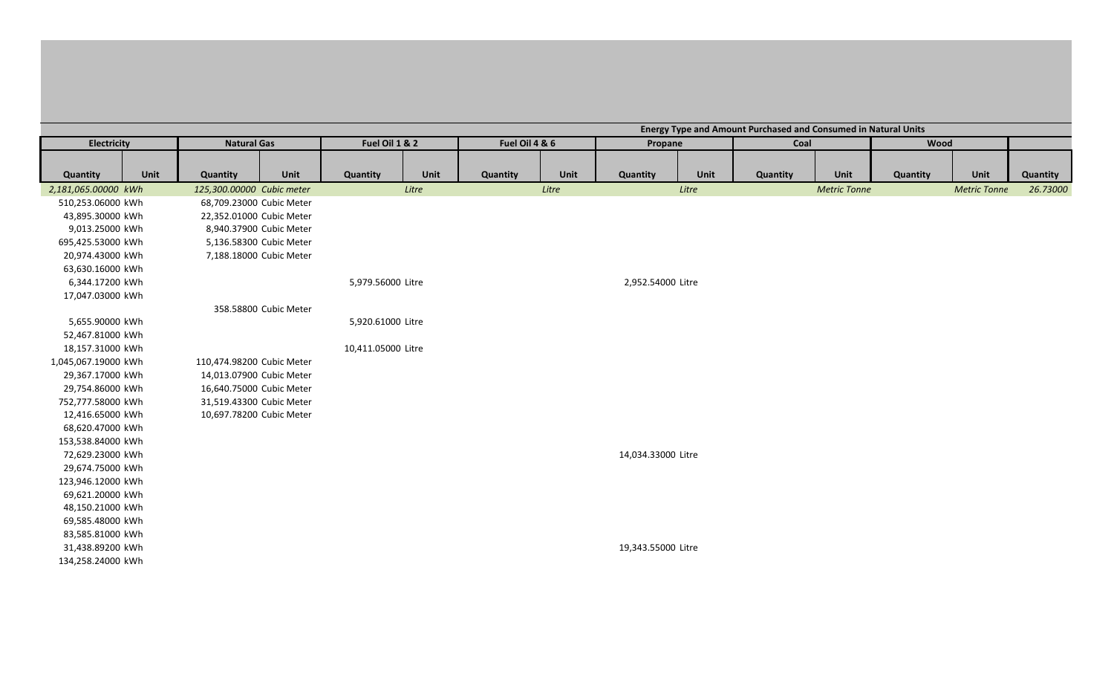|                     |      |                           |                       |                    |       |                |       |                    |       | <b>Energy Type and Amount Purchased and Consumed in Natural Units</b> |                     |          |                     |          |
|---------------------|------|---------------------------|-----------------------|--------------------|-------|----------------|-------|--------------------|-------|-----------------------------------------------------------------------|---------------------|----------|---------------------|----------|
| Electricity         |      | <b>Natural Gas</b>        |                       | Fuel Oil 1 & 2     |       | Fuel Oil 4 & 6 |       | Propane            |       | Coal                                                                  |                     | Wood     |                     |          |
|                     |      |                           |                       |                    |       |                |       |                    |       |                                                                       |                     |          |                     |          |
| Quantity            | Unit | Quantity                  | Unit                  | Quantity           | Unit  | Quantity       | Unit  | Quantity           | Unit  | Quantity                                                              | Unit                | Quantity | Unit                | Quantity |
| 2,181,065.00000 kWh |      | 125,300.00000 Cubic meter |                       |                    | Litre |                | Litre |                    | Litre |                                                                       | <b>Metric Tonne</b> |          | <b>Metric Tonne</b> | 26.73000 |
| 510,253.06000 kWh   |      | 68,709.23000 Cubic Meter  |                       |                    |       |                |       |                    |       |                                                                       |                     |          |                     |          |
| 43,895.30000 kWh    |      | 22,352.01000 Cubic Meter  |                       |                    |       |                |       |                    |       |                                                                       |                     |          |                     |          |
| 9,013.25000 kWh     |      | 8,940.37900 Cubic Meter   |                       |                    |       |                |       |                    |       |                                                                       |                     |          |                     |          |
| 695,425.53000 kWh   |      | 5,136.58300 Cubic Meter   |                       |                    |       |                |       |                    |       |                                                                       |                     |          |                     |          |
| 20,974.43000 kWh    |      | 7,188.18000 Cubic Meter   |                       |                    |       |                |       |                    |       |                                                                       |                     |          |                     |          |
| 63,630.16000 kWh    |      |                           |                       |                    |       |                |       |                    |       |                                                                       |                     |          |                     |          |
| 6,344.17200 kWh     |      |                           |                       | 5,979.56000 Litre  |       |                |       | 2,952.54000 Litre  |       |                                                                       |                     |          |                     |          |
| 17,047.03000 kWh    |      |                           |                       |                    |       |                |       |                    |       |                                                                       |                     |          |                     |          |
|                     |      |                           | 358.58800 Cubic Meter |                    |       |                |       |                    |       |                                                                       |                     |          |                     |          |
| 5,655.90000 kWh     |      |                           |                       | 5,920.61000 Litre  |       |                |       |                    |       |                                                                       |                     |          |                     |          |
| 52,467.81000 kWh    |      |                           |                       |                    |       |                |       |                    |       |                                                                       |                     |          |                     |          |
| 18,157.31000 kWh    |      |                           |                       | 10,411.05000 Litre |       |                |       |                    |       |                                                                       |                     |          |                     |          |
| 1,045,067.19000 kWh |      | 110,474.98200 Cubic Meter |                       |                    |       |                |       |                    |       |                                                                       |                     |          |                     |          |
| 29,367.17000 kWh    |      | 14,013.07900 Cubic Meter  |                       |                    |       |                |       |                    |       |                                                                       |                     |          |                     |          |
| 29,754.86000 kWh    |      | 16,640.75000 Cubic Meter  |                       |                    |       |                |       |                    |       |                                                                       |                     |          |                     |          |
| 752,777.58000 kWh   |      | 31,519.43300 Cubic Meter  |                       |                    |       |                |       |                    |       |                                                                       |                     |          |                     |          |
| 12,416.65000 kWh    |      | 10,697.78200 Cubic Meter  |                       |                    |       |                |       |                    |       |                                                                       |                     |          |                     |          |
| 68,620.47000 kWh    |      |                           |                       |                    |       |                |       |                    |       |                                                                       |                     |          |                     |          |
| 153,538.84000 kWh   |      |                           |                       |                    |       |                |       |                    |       |                                                                       |                     |          |                     |          |
| 72,629.23000 kWh    |      |                           |                       |                    |       |                |       | 14,034.33000 Litre |       |                                                                       |                     |          |                     |          |
| 29,674.75000 kWh    |      |                           |                       |                    |       |                |       |                    |       |                                                                       |                     |          |                     |          |
| 123,946.12000 kWh   |      |                           |                       |                    |       |                |       |                    |       |                                                                       |                     |          |                     |          |
| 69,621.20000 kWh    |      |                           |                       |                    |       |                |       |                    |       |                                                                       |                     |          |                     |          |
| 48,150.21000 kWh    |      |                           |                       |                    |       |                |       |                    |       |                                                                       |                     |          |                     |          |
| 69,585.48000 kWh    |      |                           |                       |                    |       |                |       |                    |       |                                                                       |                     |          |                     |          |
| 83,585.81000 kWh    |      |                           |                       |                    |       |                |       |                    |       |                                                                       |                     |          |                     |          |
| 31,438.89200 kWh    |      |                           |                       |                    |       |                |       | 19,343.55000 Litre |       |                                                                       |                     |          |                     |          |
| 134,258.24000 kWh   |      |                           |                       |                    |       |                |       |                    |       |                                                                       |                     |          |                     |          |